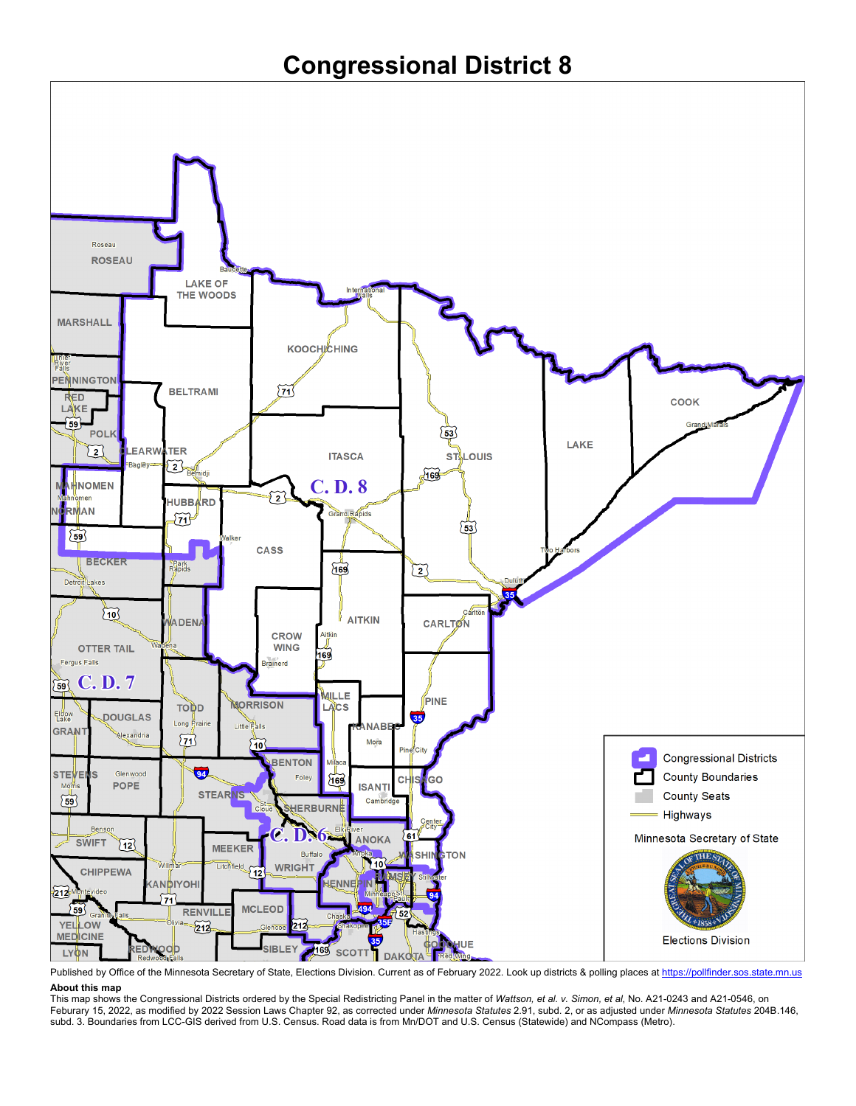

Published by Office of the Minnesota Secretary of State, Elections Division. Current as of February 2022. Look up districts & polling places a[t https://pollfinder.sos.state.mn.us](https://pollfinder.sos.state.mn.us/) **About this map**

This map shows the Congressional Districts ordered by the Special Redistricting Panel in the matter of *Wattson, et al. v. Simon, et al*, No. A21-0243 and A21-0546, on Feburary 15, 2022, as modified by 2022 Session Laws Chapter 92, as corrected under *Minnesota Statutes* 2.91, subd. 2, or as adjusted under *Minnesota Statutes* 204B.146, subd. 3. Boundaries from LCC-GIS derived from U.S. Census. Road data is from Mn/DOT and U.S. Census (Statewide) and NCompass (Metro).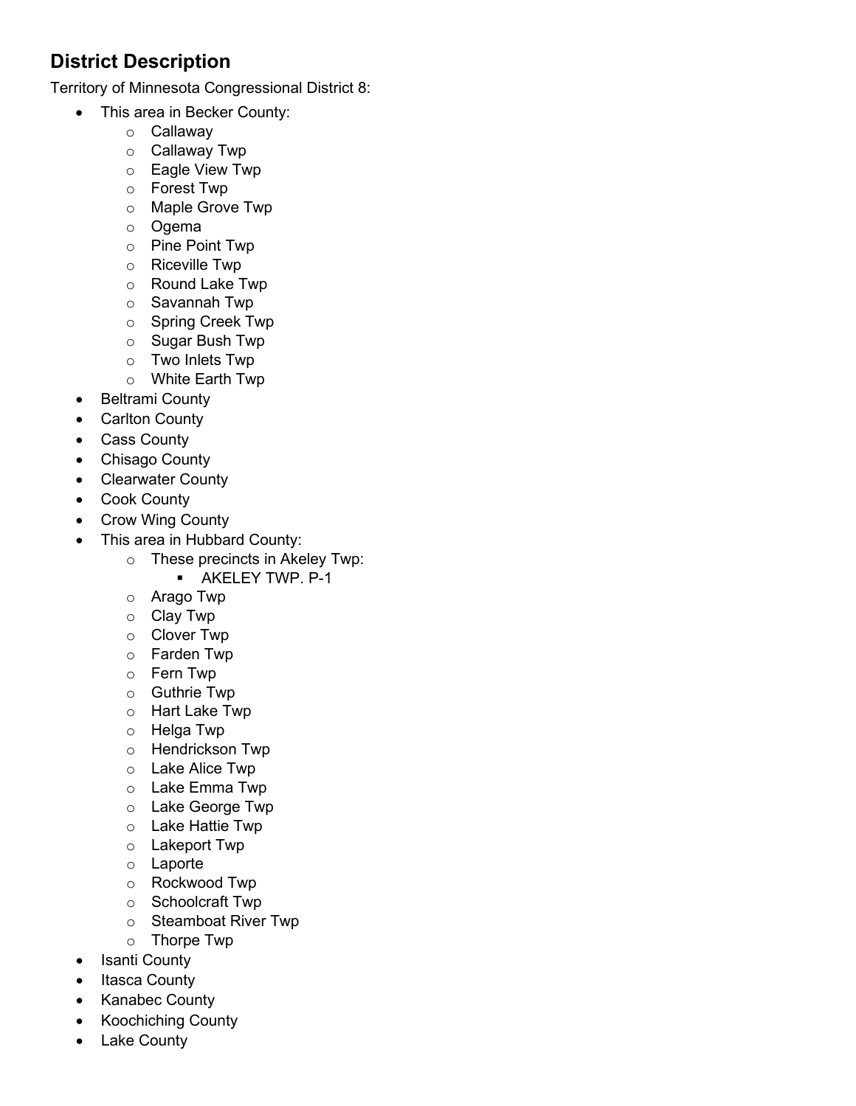## **District Description**

Territory of Minnesota Congressional District 8:

- This area in Becker County:
	- o Callaway
	- o Callaway Twp
	- o Eagle View Twp
	- o Forest Twp
	- o Maple Grove Twp
	- o Ogema
	- o Pine Point Twp
	- o Riceville Twp
	- o Round Lake Twp
	- o Savannah Twp
	- o Spring Creek Twp
	- o Sugar Bush Twp
	- o Two Inlets Twp
	- o White Earth Twp
	- Beltrami County
	- Carlton County
	- Cass County
	- Chisago County
	- Clearwater County
	- Cook County
	- Crow Wing County
	- This area in Hubbard County:
		- o These precincts in Akeley Twp:
			- **AKELEY TWP. P-1**
		- o Arago Twp
		- o Clay Twp
		- o Clover Twp
		- o Farden Twp
		- o Fern Twp
		- o Guthrie Twp
		- o Hart Lake Twp
		- o Helga Twp
		- o Hendrickson Twp
		- o Lake Alice Twp
		- o Lake Emma Twp
		- o Lake George Twp
		- o Lake Hattie Twp
		- o Lakeport Twp
		- o Laporte
		- o Rockwood Twp
		- o Schoolcraft Twp
		- o Steamboat River Twp
		- o Thorpe Twp
	- Isanti County
	- Itasca County
	- Kanabec County
	- Koochiching County
	- Lake County